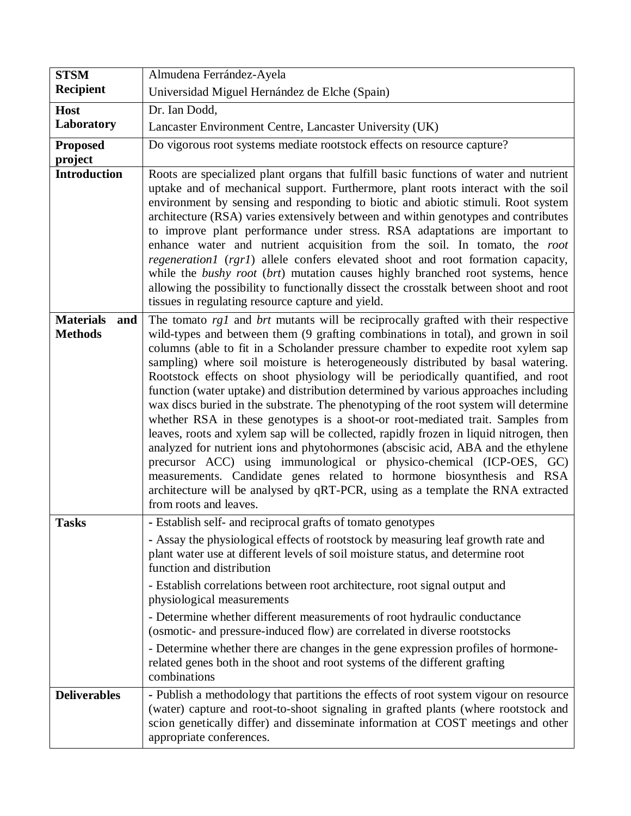| <b>STSM</b>                               | Almudena Ferrández-Ayela                                                                                                                                                                                                                                                                                                                                                                                                                                                                                                                                                                                                                                                                                                                                                                                                                                                                                                                                                                                                                                                                                                                       |
|-------------------------------------------|------------------------------------------------------------------------------------------------------------------------------------------------------------------------------------------------------------------------------------------------------------------------------------------------------------------------------------------------------------------------------------------------------------------------------------------------------------------------------------------------------------------------------------------------------------------------------------------------------------------------------------------------------------------------------------------------------------------------------------------------------------------------------------------------------------------------------------------------------------------------------------------------------------------------------------------------------------------------------------------------------------------------------------------------------------------------------------------------------------------------------------------------|
| <b>Recipient</b>                          | Universidad Miguel Hernández de Elche (Spain)                                                                                                                                                                                                                                                                                                                                                                                                                                                                                                                                                                                                                                                                                                                                                                                                                                                                                                                                                                                                                                                                                                  |
| <b>Host</b>                               | Dr. Ian Dodd,                                                                                                                                                                                                                                                                                                                                                                                                                                                                                                                                                                                                                                                                                                                                                                                                                                                                                                                                                                                                                                                                                                                                  |
| Laboratory                                | Lancaster Environment Centre, Lancaster University (UK)                                                                                                                                                                                                                                                                                                                                                                                                                                                                                                                                                                                                                                                                                                                                                                                                                                                                                                                                                                                                                                                                                        |
| <b>Proposed</b>                           | Do vigorous root systems mediate rootstock effects on resource capture?                                                                                                                                                                                                                                                                                                                                                                                                                                                                                                                                                                                                                                                                                                                                                                                                                                                                                                                                                                                                                                                                        |
| project                                   |                                                                                                                                                                                                                                                                                                                                                                                                                                                                                                                                                                                                                                                                                                                                                                                                                                                                                                                                                                                                                                                                                                                                                |
| <b>Introduction</b>                       | Roots are specialized plant organs that fulfill basic functions of water and nutrient<br>uptake and of mechanical support. Furthermore, plant roots interact with the soil<br>environment by sensing and responding to biotic and abiotic stimuli. Root system<br>architecture (RSA) varies extensively between and within genotypes and contributes<br>to improve plant performance under stress. RSA adaptations are important to<br>enhance water and nutrient acquisition from the soil. In tomato, the root<br><i>regeneration1</i> (rgr1) allele confers elevated shoot and root formation capacity,<br>while the bushy root (brt) mutation causes highly branched root systems, hence<br>allowing the possibility to functionally dissect the crosstalk between shoot and root                                                                                                                                                                                                                                                                                                                                                          |
|                                           | tissues in regulating resource capture and yield.                                                                                                                                                                                                                                                                                                                                                                                                                                                                                                                                                                                                                                                                                                                                                                                                                                                                                                                                                                                                                                                                                              |
| <b>Materials</b><br>and<br><b>Methods</b> | The tomato rg1 and brt mutants will be reciprocally grafted with their respective<br>wild-types and between them (9 grafting combinations in total), and grown in soil<br>columns (able to fit in a Scholander pressure chamber to expedite root xylem sap<br>sampling) where soil moisture is heterogeneously distributed by basal watering.<br>Rootstock effects on shoot physiology will be periodically quantified, and root<br>function (water uptake) and distribution determined by various approaches including<br>wax discs buried in the substrate. The phenotyping of the root system will determine<br>whether RSA in these genotypes is a shoot-or root-mediated trait. Samples from<br>leaves, roots and xylem sap will be collected, rapidly frozen in liquid nitrogen, then<br>analyzed for nutrient ions and phytohormones (abscisic acid, ABA and the ethylene<br>precursor ACC) using immunological or physico-chemical (ICP-OES, GC)<br>measurements. Candidate genes related to hormone biosynthesis and RSA<br>architecture will be analysed by qRT-PCR, using as a template the RNA extracted<br>from roots and leaves. |
| <b>Tasks</b>                              | - Establish self- and reciprocal grafts of tomato genotypes<br>- Assay the physiological effects of rootstock by measuring leaf growth rate and<br>plant water use at different levels of soil moisture status, and determine root<br>function and distribution<br>- Establish correlations between root architecture, root signal output and<br>physiological measurements<br>- Determine whether different measurements of root hydraulic conductance<br>(osmotic- and pressure-induced flow) are correlated in diverse rootstocks<br>- Determine whether there are changes in the gene expression profiles of hormone-<br>related genes both in the shoot and root systems of the different grafting<br>combinations                                                                                                                                                                                                                                                                                                                                                                                                                        |
| <b>Deliverables</b>                       | - Publish a methodology that partitions the effects of root system vigour on resource<br>(water) capture and root-to-shoot signaling in grafted plants (where rootstock and<br>scion genetically differ) and disseminate information at COST meetings and other<br>appropriate conferences.                                                                                                                                                                                                                                                                                                                                                                                                                                                                                                                                                                                                                                                                                                                                                                                                                                                    |